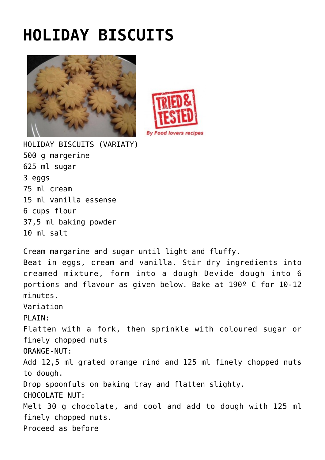## **[HOLIDAY BISCUITS](http://www.foodloversrecipes.com/2013/04/holiday-biscuits/)**





HOLIDAY BISCUITS (VARIATY) 500 g margerine 625 ml sugar 3 eggs 75 ml cream 15 ml vanilla essense 6 cups flour 37,5 ml baking powder 10 ml salt

Cream margarine and sugar until light and fluffy. Beat in eggs, cream and vanilla. Stir dry ingredients into creamed mixture, form into a dough Devide dough into 6 portions and flavour as given below. Bake at 190º C for 10-12 minutes. Variation PLATN: Flatten with a fork, then sprinkle with coloured sugar or finely chopped nuts ORANGE-NUT: Add 12,5 ml grated orange rind and 125 ml finely chopped nuts to dough. Drop spoonfuls on baking tray and flatten slighty. CHOCOLATE NUT: Melt 30 g chocolate, and cool and add to dough with 125 ml finely chopped nuts. Proceed as before